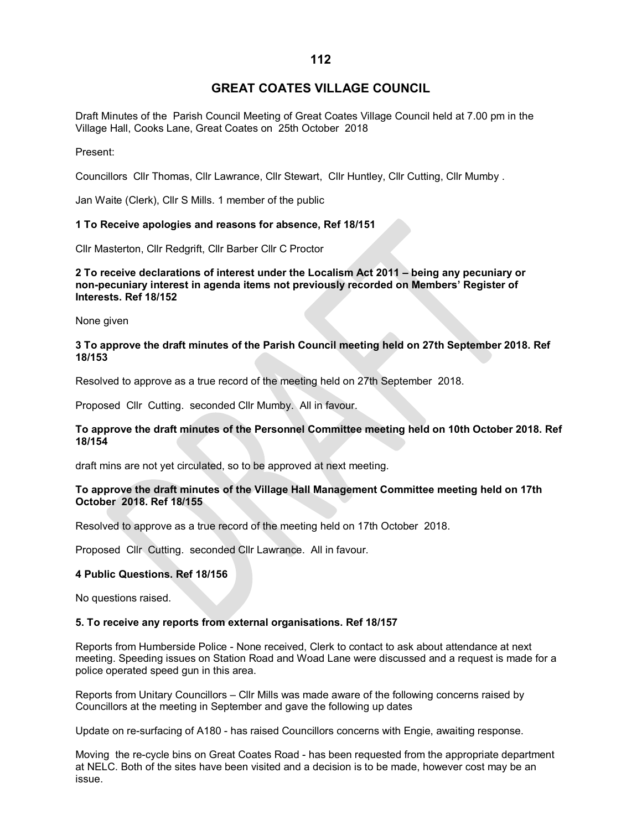# **GREAT COATES VILLAGE COUNCIL**

Draft Minutes of the Parish Council Meeting of Great Coates Village Council held at 7.00 pm in the Village Hall, Cooks Lane, Great Coates on 25th October 2018

Present:

Councillors Cllr Thomas, Cllr Lawrance, Cllr Stewart, Cllr Huntley, Cllr Cutting, Cllr Mumby .

Jan Waite (Clerk), Cllr S Mills. 1 member of the public

### **1 To Receive apologies and reasons for absence, Ref 18/151**

Cllr Masterton, Cllr Redgrift, Cllr Barber Cllr C Proctor

**2 To receive declarations of interest under the Localism Act 2011 – being any pecuniary or non-pecuniary interest in agenda items not previously recorded on Members' Register of Interests. Ref 18/152**

None given

### **3 To approve the draft minutes of the Parish Council meeting held on 27th September 2018. Ref 18/153**

Resolved to approve as a true record of the meeting held on 27th September 2018.

Proposed Cllr Cutting. seconded Cllr Mumby. All in favour.

### **To approve the draft minutes of the Personnel Committee meeting held on 10th October 2018. Ref 18/154**

draft mins are not yet circulated, so to be approved at next meeting.

### **To approve the draft minutes of the Village Hall Management Committee meeting held on 17th October 2018. Ref 18/155**

Resolved to approve as a true record of the meeting held on 17th October 2018.

Proposed Cllr Cutting. seconded Cllr Lawrance. All in favour.

### **4 Public Questions. Ref 18/156**

No questions raised.

### **5. To receive any reports from external organisations. Ref 18/157**

Reports from Humberside Police - None received, Clerk to contact to ask about attendance at next meeting. Speeding issues on Station Road and Woad Lane were discussed and a request is made for a police operated speed gun in this area.

Reports from Unitary Councillors – Cllr Mills was made aware of the following concerns raised by Councillors at the meeting in September and gave the following up dates

Update on re-surfacing of A180 - has raised Councillors concerns with Engie, awaiting response.

Moving the re-cycle bins on Great Coates Road - has been requested from the appropriate department at NELC. Both of the sites have been visited and a decision is to be made, however cost may be an issue.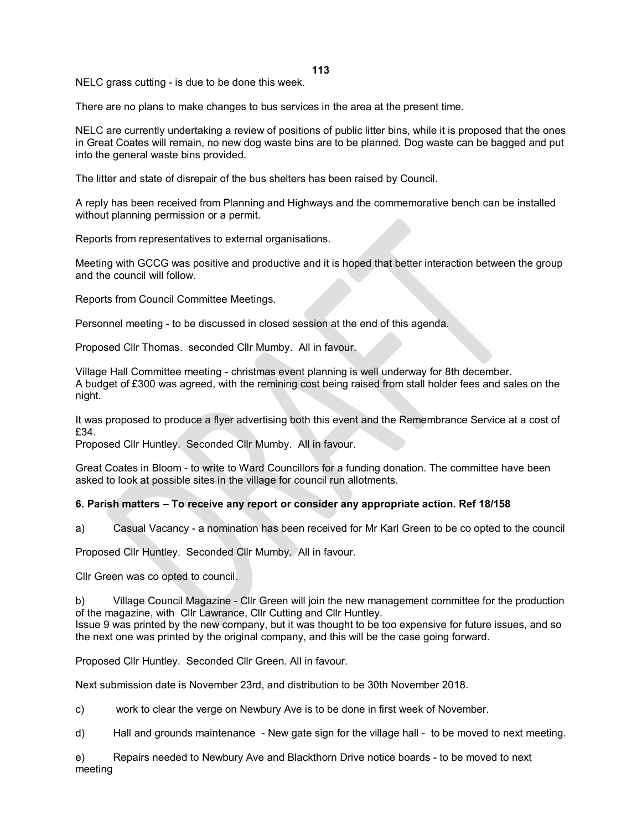**113**

NELC grass cutting - is due to be done this week.

There are no plans to make changes to bus services in the area at the present time.

NELC are currently undertaking a review of positions of public litter bins, while it is proposed that the ones in Great Coates will remain, no new dog waste bins are to be planned. Dog waste can be bagged and put into the general waste bins provided.

The litter and state of disrepair of the bus shelters has been raised by Council.

A reply has been received from Planning and Highways and the commemorative bench can be installed without planning permission or a permit.

Reports from representatives to external organisations.

Meeting with GCCG was positive and productive and it is hoped that better interaction between the group and the council will follow.

Reports from Council Committee Meetings.

Personnel meeting - to be discussed in closed session at the end of this agenda.

Proposed Cllr Thomas. seconded Cllr Mumby. All in favour.

Village Hall Committee meeting - christmas event planning is well underway for 8th december. A budget of £300 was agreed, with the remining cost being raised from stall holder fees and sales on the night.

It was proposed to produce a flyer advertising both this event and the Remembrance Service at a cost of £34.

Proposed Cllr Huntley. Seconded Cllr Mumby. All in favour.

Great Coates in Bloom - to write to Ward Councillors for a funding donation. The committee have been asked to look at possible sites in the village for council run allotments.

## **6. Parish matters – To receive any report or consider any appropriate action. Ref 18/158**

a) Casual Vacancy - a nomination has been received for Mr Karl Green to be co opted to the council

Proposed Cllr Huntley. Seconded Cllr Mumby. All in favour.

Cllr Green was co opted to council.

b) Village Council Magazine - Cllr Green will join the new management committee for the production of the magazine, with Cllr Lawrance, Cllr Cutting and Cllr Huntley.

Issue 9 was printed by the new company, but it was thought to be too expensive for future issues, and so the next one was printed by the original company, and this will be the case going forward.

Proposed Cllr Huntley. Seconded Cllr Green. All in favour.

Next submission date is November 23rd, and distribution to be 30th November 2018.

c) work to clear the verge on Newbury Ave is to be done in first week of November.

d) Hall and grounds maintenance - New gate sign for the village hall - to be moved to next meeting.

e) Repairs needed to Newbury Ave and Blackthorn Drive notice boards - to be moved to next meeting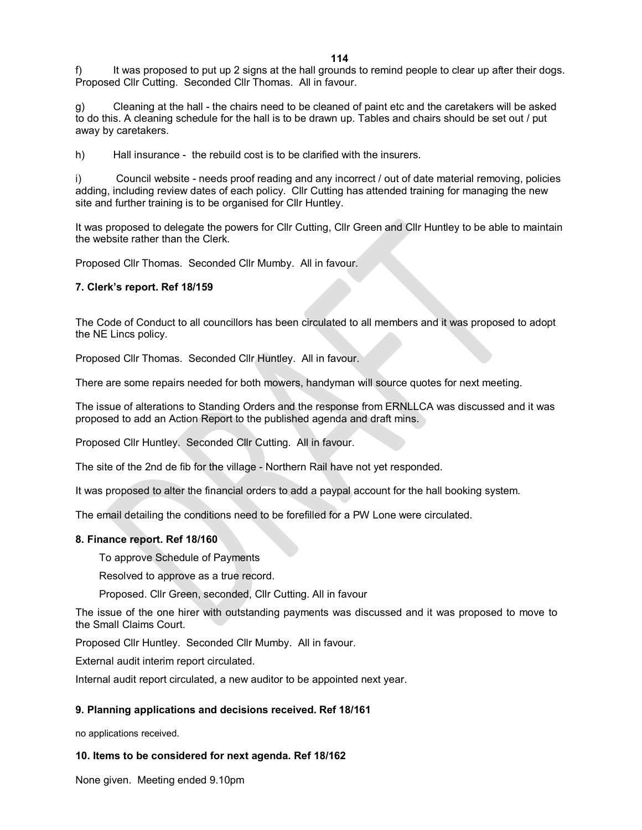It was proposed to put up 2 signs at the hall grounds to remind people to clear up after their dogs. Proposed Cllr Cutting. Seconded Cllr Thomas. All in favour.

g) Cleaning at the hall - the chairs need to be cleaned of paint etc and the caretakers will be asked to do this. A cleaning schedule for the hall is to be drawn up. Tables and chairs should be set out / put away by caretakers.

h) Hall insurance - the rebuild cost is to be clarified with the insurers.

i) Council website - needs proof reading and any incorrect / out of date material removing, policies adding, including review dates of each policy. Cllr Cutting has attended training for managing the new site and further training is to be organised for Cllr Huntley.

It was proposed to delegate the powers for Cllr Cutting, Cllr Green and Cllr Huntley to be able to maintain the website rather than the Clerk.

Proposed Cllr Thomas. Seconded Cllr Mumby. All in favour.

### **7. Clerk's report. Ref 18/159**

The Code of Conduct to all councillors has been circulated to all members and it was proposed to adopt the NE Lincs policy.

Proposed Cllr Thomas. Seconded Cllr Huntley. All in favour.

There are some repairs needed for both mowers, handyman will source quotes for next meeting.

The issue of alterations to Standing Orders and the response from ERNLLCA was discussed and it was proposed to add an Action Report to the published agenda and draft mins.

Proposed Cllr Huntley. Seconded Cllr Cutting. All in favour.

The site of the 2nd de fib for the village - Northern Rail have not yet responded.

It was proposed to alter the financial orders to add a paypal account for the hall booking system.

The email detailing the conditions need to be forefilled for a PW Lone were circulated.

#### **8. Finance report. Ref 18/160**

To approve Schedule of Payments

Resolved to approve as a true record.

Proposed. Cllr Green, seconded, Cllr Cutting. All in favour

The issue of the one hirer with outstanding payments was discussed and it was proposed to move to the Small Claims Court.

Proposed Cllr Huntley. Seconded Cllr Mumby. All in favour.

External audit interim report circulated.

Internal audit report circulated, a new auditor to be appointed next year.

### **9. Planning applications and decisions received. Ref 18/161**

no applications received.

### **10. Items to be considered for next agenda. Ref 18/162**

None given. Meeting ended 9.10pm